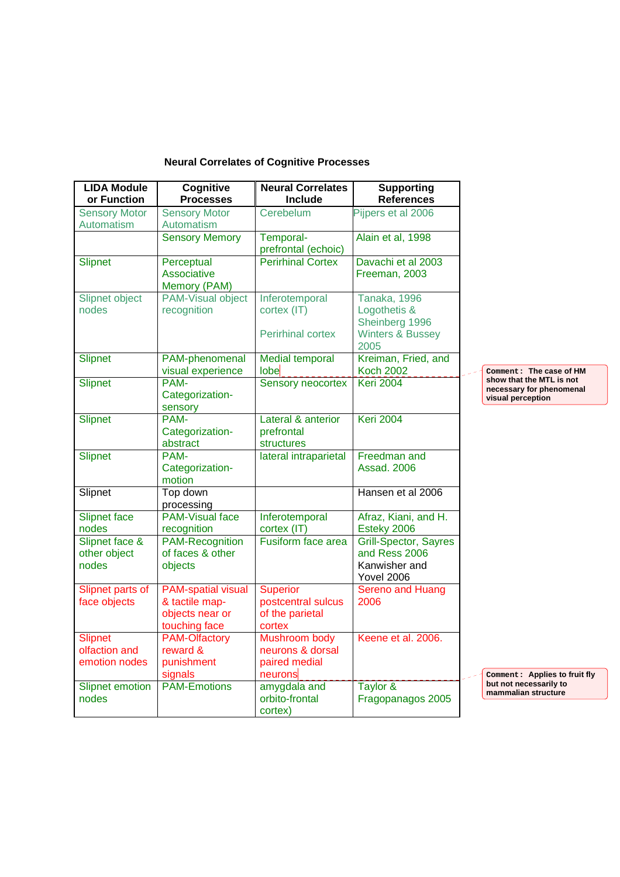## **Neural Correlates of Cognitive Processes**

| <b>LIDA Module</b>                               | Cognitive                                                                       | <b>Neural Correlates</b>                                           | <b>Supporting</b>                                                                   |                                                                           |
|--------------------------------------------------|---------------------------------------------------------------------------------|--------------------------------------------------------------------|-------------------------------------------------------------------------------------|---------------------------------------------------------------------------|
| or Function                                      | <b>Processes</b>                                                                | Include                                                            | <b>References</b>                                                                   |                                                                           |
| <b>Sensory Motor</b><br>Automatism               | <b>Sensory Motor</b><br><b>Automatism</b>                                       | Cerebelum                                                          | Pijpers et al 2006                                                                  |                                                                           |
|                                                  | <b>Sensory Memory</b>                                                           | Temporal-                                                          | Alain et al, 1998                                                                   |                                                                           |
|                                                  |                                                                                 | prefrontal (echoic)                                                |                                                                                     |                                                                           |
| Slipnet                                          | Perceptual                                                                      | <b>Perirhinal Cortex</b>                                           | Davachi et al 2003                                                                  |                                                                           |
|                                                  | Associative<br>Memory (PAM)                                                     |                                                                    | Freeman, 2003                                                                       |                                                                           |
| Slipnet object<br>nodes                          | <b>PAM-Visual object</b><br>recognition                                         | Inferotemporal<br>cortex (IT)                                      | Tanaka, 1996<br>Logothetis &<br>Sheinberg 1996                                      |                                                                           |
|                                                  |                                                                                 | <b>Perirhinal cortex</b>                                           | <b>Winters &amp; Bussey</b><br>2005                                                 |                                                                           |
| <b>Slipnet</b>                                   | PAM-phenomenal<br>visual experience                                             | <b>Medial temporal</b><br>lobe                                     | Kreiman, Fried, and<br><b>Koch 2002</b>                                             | Comment: The case of HM                                                   |
| Slipnet                                          | PAM-<br>Categorization-<br>sensory                                              | Sensory neocortex                                                  | <b>Keri 2004</b>                                                                    | show that the MTL is not<br>necessary for phenomenal<br>visual perception |
| <b>Slipnet</b>                                   | PAM-<br>Categorization-<br>abstract                                             | Lateral & anterior<br>prefrontal<br>structures                     | <b>Keri 2004</b>                                                                    |                                                                           |
| Slipnet                                          | PAM-<br>Categorization-<br>motion                                               | lateral intraparietal                                              | Freedman and<br>Assad, 2006                                                         |                                                                           |
| Slipnet                                          | Top down<br>processing                                                          |                                                                    | Hansen et al 2006                                                                   |                                                                           |
| <b>Slipnet face</b><br>nodes                     | <b>PAM-Visual face</b><br>recognition                                           | Inferotemporal<br>cortex (IT)                                      | Afraz, Kiani, and H.<br>Esteky 2006                                                 |                                                                           |
| Slipnet face &<br>other object<br>nodes          | <b>PAM-Recognition</b><br>of faces & other<br>objects                           | Fusiform face area                                                 | <b>Grill-Spector, Sayres</b><br>and Ress 2006<br>Kanwisher and<br><b>Yovel 2006</b> |                                                                           |
| Slipnet parts of<br>face objects                 | <b>PAM-spatial visual</b><br>& tactile map-<br>objects near or<br>touching face | <b>Superior</b><br>postcentral sulcus<br>of the parietal<br>cortex | Sereno and Huang<br>2006                                                            |                                                                           |
| <b>Slipnet</b><br>olfaction and<br>emotion nodes | <b>PAM-Olfactory</b><br>reward &<br>punishment<br>signals                       | Mushroom body<br>neurons & dorsal<br>paired medial<br>neurons      | Keene et al. 2006.                                                                  | Comment: Applies to fruit fly                                             |
| <b>Slipnet emotion</b><br>nodes                  | <b>PAM-Emotions</b>                                                             | amygdala and<br>orbito-frontal<br>cortex)                          | Taylor &<br>Fragopanagos 2005                                                       | but not necessarily to<br>mammalian structure                             |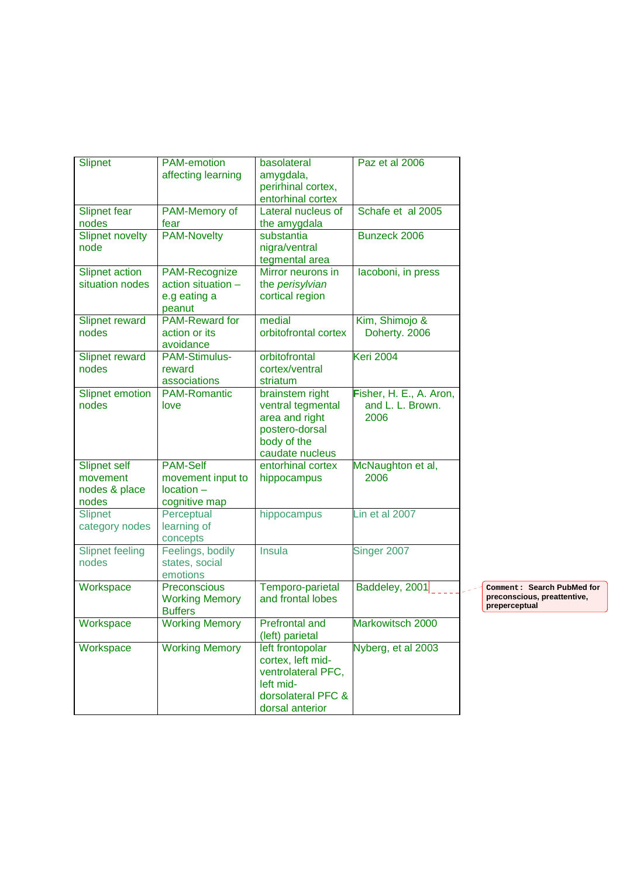| <b>Slipnet</b>         | <b>PAM-emotion</b>    | basolateral           | Paz et al 2006          |      |
|------------------------|-----------------------|-----------------------|-------------------------|------|
|                        | affecting learning    | amygdala,             |                         |      |
|                        |                       | perirhinal cortex,    |                         |      |
|                        |                       | entorhinal cortex     |                         |      |
| <b>Slipnet fear</b>    | PAM-Memory of         | Lateral nucleus of    | Schafe et al 2005       |      |
| nodes                  | fear                  | the amygdala          |                         |      |
| <b>Slipnet novelty</b> | <b>PAM-Novelty</b>    | substantia            | Bunzeck 2006            |      |
| node                   |                       | nigra/ventral         |                         |      |
|                        |                       | tegmental area        |                         |      |
|                        |                       |                       |                         |      |
| Slipnet action         | PAM-Recognize         | Mirror neurons in     | lacoboni, in press      |      |
| situation nodes        | action situation -    | the perisylvian       |                         |      |
|                        | e.g eating a          | cortical region       |                         |      |
|                        | peanut                |                       |                         |      |
| Slipnet reward         | <b>PAM-Reward for</b> | medial                | Kim, Shimojo &          |      |
| nodes                  | action or its         | orbitofrontal cortex  | Doherty. 2006           |      |
|                        | avoidance             |                       |                         |      |
| Slipnet reward         | <b>PAM-Stimulus-</b>  | orbitofrontal         | <b>Keri 2004</b>        |      |
| nodes                  | reward                | cortex/ventral        |                         |      |
|                        | associations          | striatum              |                         |      |
| <b>Slipnet emotion</b> | <b>PAM-Romantic</b>   | brainstem right       | Fisher, H. E., A. Aron, |      |
|                        |                       |                       | and L. L. Brown.        |      |
| nodes                  | love                  | ventral tegmental     |                         |      |
|                        |                       | area and right        | 2006                    |      |
|                        |                       | postero-dorsal        |                         |      |
|                        |                       | body of the           |                         |      |
|                        |                       | caudate nucleus       |                         |      |
| <b>Slipnet self</b>    | <b>PAM-Self</b>       | entorhinal cortex     | McNaughton et al,       |      |
| movement               | movement input to     | hippocampus           | 2006                    |      |
| nodes & place          | $location -$          |                       |                         |      |
| nodes                  | cognitive map         |                       |                         |      |
| <b>Slipnet</b>         | Perceptual            | hippocampus           | Lin et al 2007          |      |
| category nodes         | learning of           |                       |                         |      |
|                        | concepts              |                       |                         |      |
|                        |                       | Insula                |                         |      |
| <b>Slipnet feeling</b> | Feelings, bodily      |                       | Singer 2007             |      |
| nodes                  | states, social        |                       |                         |      |
|                        | emotions              |                       |                         |      |
| Workspace              | Preconscious          | Temporo-parietal      | Baddeley, 2001          | Comm |
|                        | <b>Working Memory</b> | and frontal lobes     |                         | prec |
|                        | <b>Buffers</b>        |                       |                         | prep |
| Workspace              | <b>Working Memory</b> | <b>Prefrontal and</b> | Markowitsch 2000        |      |
|                        |                       | (left) parietal       |                         |      |
| Workspace              | <b>Working Memory</b> | left frontopolar      | Nyberg, et al 2003      |      |
|                        |                       | cortex, left mid-     |                         |      |
|                        |                       | ventrolateral PFC,    |                         |      |
|                        |                       |                       |                         |      |
|                        |                       | left mid-             |                         |      |
|                        |                       | dorsolateral PFC &    |                         |      |
|                        |                       | dorsal anterior       |                         |      |

**Comment: Search PubMed for preconscious, preattentive, preperceptual**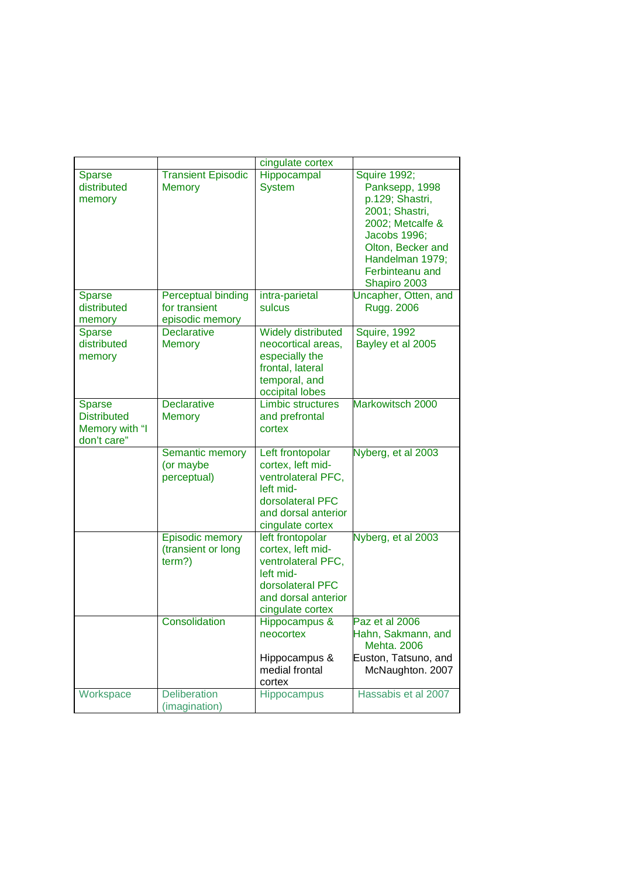|                                                                      |                                                        | cingulate cortex                                                                                                                        |                                                                                                                                                                                           |
|----------------------------------------------------------------------|--------------------------------------------------------|-----------------------------------------------------------------------------------------------------------------------------------------|-------------------------------------------------------------------------------------------------------------------------------------------------------------------------------------------|
| <b>Sparse</b><br>distributed<br>memory                               | <b>Transient Episodic</b><br><b>Memory</b>             | Hippocampal<br><b>System</b>                                                                                                            | <b>Squire 1992;</b><br>Panksepp, 1998<br>p.129; Shastri,<br>2001; Shastri,<br>2002; Metcalfe &<br>Jacobs 1996;<br>Olton, Becker and<br>Handelman 1979;<br>Ferbinteanu and<br>Shapiro 2003 |
| <b>Sparse</b><br>distributed<br>memory                               | Perceptual binding<br>for transient<br>episodic memory | intra-parietal<br>sulcus                                                                                                                | Uncapher, Otten, and<br>Rugg. 2006                                                                                                                                                        |
| <b>Sparse</b><br>distributed<br>memory                               | <b>Declarative</b><br><b>Memory</b>                    | Widely distributed<br>neocortical areas,<br>especially the<br>frontal, lateral<br>temporal, and<br>occipital lobes                      | Squire, 1992<br>Bayley et al 2005                                                                                                                                                         |
| <b>Sparse</b><br><b>Distributed</b><br>Memory with "I<br>don't care" | <b>Declarative</b><br><b>Memory</b>                    | <b>Limbic structures</b><br>and prefrontal<br>cortex                                                                                    | Markowitsch 2000                                                                                                                                                                          |
|                                                                      | Semantic memory<br>(or maybe<br>perceptual)            | Left frontopolar<br>cortex, left mid-<br>ventrolateral PFC,<br>left mid-<br>dorsolateral PFC<br>and dorsal anterior<br>cingulate cortex | Nyberg, et al 2003                                                                                                                                                                        |
|                                                                      | <b>Episodic memory</b><br>(transient or long<br>term?) | left frontopolar<br>cortex, left mid-<br>ventrolateral PFC,<br>left mid-<br>dorsolateral PFC<br>and dorsal anterior<br>cingulate cortex | Nyberg, et al 2003                                                                                                                                                                        |
|                                                                      | Consolidation                                          | Hippocampus &<br>neocortex<br>Hippocampus &<br>medial frontal<br>cortex                                                                 | Paz et al 2006<br>Hahn, Sakmann, and<br><b>Mehta. 2006</b><br>Euston, Tatsuno, and<br>McNaughton. 2007                                                                                    |
| Workspace                                                            | <b>Deliberation</b><br>(imagination)                   | Hippocampus                                                                                                                             | Hassabis et al 2007                                                                                                                                                                       |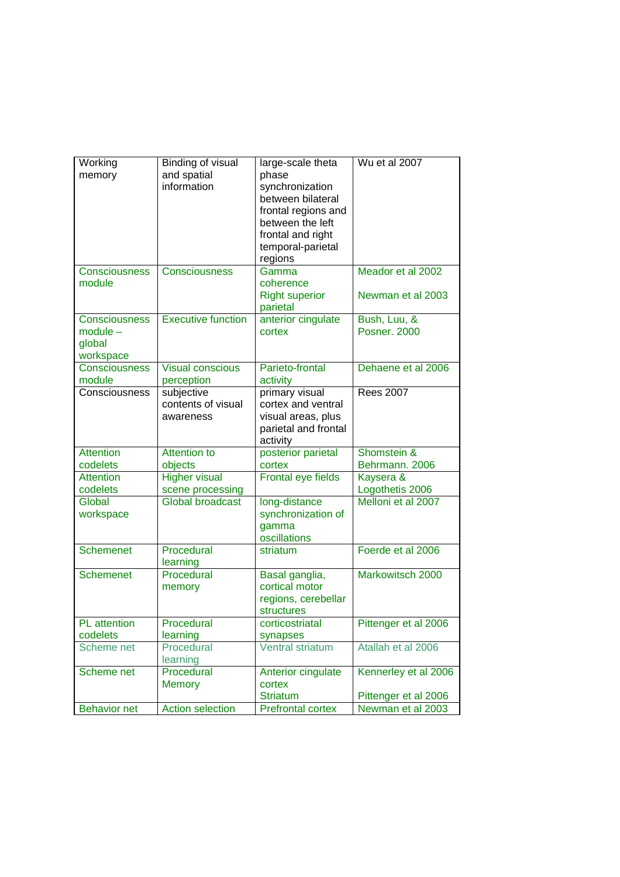| Working              | Binding of visual         | large-scale theta                   | Wu et al 2007        |
|----------------------|---------------------------|-------------------------------------|----------------------|
| memory               | and spatial               | phase                               |                      |
|                      | information               | synchronization                     |                      |
|                      |                           | between bilateral                   |                      |
|                      |                           | frontal regions and                 |                      |
|                      |                           | between the left                    |                      |
|                      |                           | frontal and right                   |                      |
|                      |                           | temporal-parietal                   |                      |
|                      |                           | regions                             |                      |
| Consciousness        | Consciousness             | Gamma                               | Meador et al 2002    |
| module               |                           | coherence                           |                      |
|                      |                           | <b>Right superior</b>               | Newman et al 2003    |
|                      |                           | parietal                            |                      |
| <b>Consciousness</b> | <b>Executive function</b> | anterior cingulate                  | Bush, Luu, &         |
| $module -$           |                           | cortex                              | <b>Posner, 2000</b>  |
| global               |                           |                                     |                      |
| workspace            |                           |                                     |                      |
| Consciousness        | <b>Visual conscious</b>   | Parieto-frontal                     | Dehaene et al 2006   |
| module               | perception                | activity                            |                      |
| Consciousness        | subjective                | primary visual                      | <b>Rees 2007</b>     |
|                      | contents of visual        | cortex and ventral                  |                      |
|                      | awareness                 | visual areas, plus                  |                      |
|                      |                           | parietal and frontal                |                      |
|                      |                           | activity                            |                      |
| <b>Attention</b>     | <b>Attention to</b>       | posterior parietal                  | Shomstein &          |
| codelets             | objects                   | cortex                              | Behrmann. 2006       |
| <b>Attention</b>     | <b>Higher visual</b>      | Frontal eye fields                  | Kaysera &            |
| codelets             | scene processing          |                                     | Logothetis 2006      |
| Global               | <b>Global broadcast</b>   | long-distance                       | Melloni et al 2007   |
| workspace            |                           | synchronization of                  |                      |
|                      |                           | gamma                               |                      |
|                      |                           | oscillations                        |                      |
| <b>Schemenet</b>     | Procedural                | striatum                            | Foerde et al 2006    |
|                      | learning                  |                                     |                      |
| <b>Schemenet</b>     | Procedural                | Basal ganglia,                      | Markowitsch 2000     |
|                      | memory                    | cortical motor                      |                      |
|                      |                           | regions, cerebellar                 |                      |
| PL attention         |                           | structures                          | Pittenger et al 2006 |
|                      | Procedural                | corticostriatal                     |                      |
| codelets             | learning                  | synapses<br><b>Ventral striatum</b> |                      |
| Scheme net           | Procedural                |                                     | Atallah et al 2006   |
|                      | learning<br>Procedural    | Anterior cingulate                  |                      |
| Scheme net           |                           |                                     | Kennerley et al 2006 |
|                      | <b>Memory</b>             | cortex                              |                      |
|                      |                           | <b>Striatum</b>                     | Pittenger et al 2006 |
| <b>Behavior net</b>  | <b>Action selection</b>   | <b>Prefrontal cortex</b>            | Newman et al 2003    |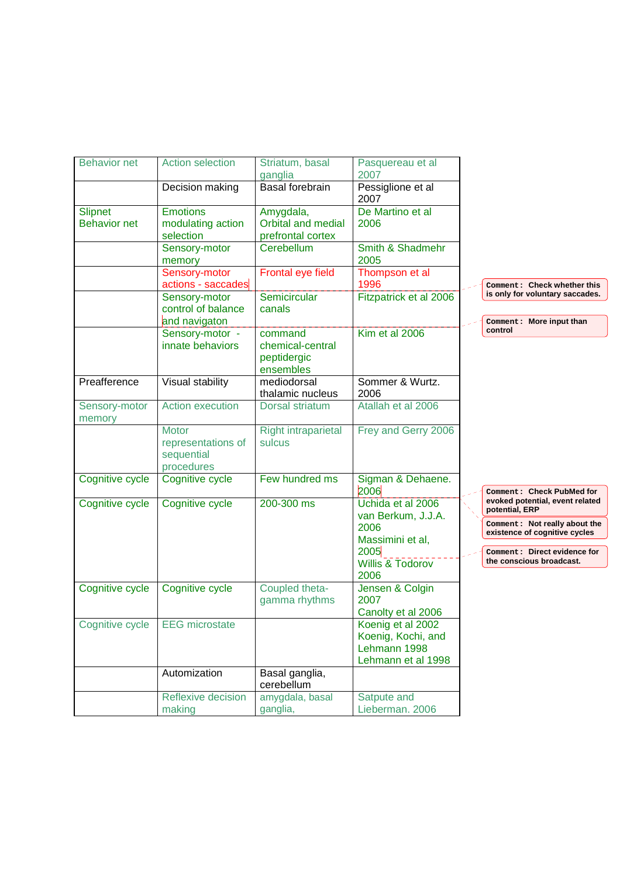| <b>Behavior net</b>                   | <b>Action selection</b>                                        | Striatum, basal<br>ganglia                              | Pasquereau et al<br>2007                                                      |                                                                                                                            |
|---------------------------------------|----------------------------------------------------------------|---------------------------------------------------------|-------------------------------------------------------------------------------|----------------------------------------------------------------------------------------------------------------------------|
|                                       | Decision making                                                | Basal forebrain                                         | Pessiglione et al<br>2007                                                     |                                                                                                                            |
| <b>Slipnet</b><br><b>Behavior net</b> | <b>Emotions</b><br>modulating action<br>selection              | Amygdala,<br>Orbital and medial<br>prefrontal cortex    | De Martino et al<br>2006                                                      |                                                                                                                            |
|                                       | Sensory-motor<br>memory                                        | Cerebellum                                              | Smith & Shadmehr<br>2005                                                      |                                                                                                                            |
|                                       | Sensory-motor<br>actions - saccades                            | Frontal eye field                                       | Thompson et al<br>1996                                                        | Comment: Check whether this                                                                                                |
|                                       | Sensory-motor<br>control of balance<br>and navigaton           | Semicircular<br>canals                                  | Fitzpatrick et al 2006                                                        | is only for voluntary saccades.<br>Comment: More input than                                                                |
|                                       | Sensory-motor -<br>innate behaviors                            | command<br>chemical-central<br>peptidergic<br>ensembles | Kim et al 2006                                                                | control                                                                                                                    |
| Preafference                          | Visual stability                                               | mediodorsal<br>thalamic nucleus                         | Sommer & Wurtz.<br>2006                                                       |                                                                                                                            |
| Sensory-motor<br>memory               | <b>Action execution</b>                                        | Dorsal striatum                                         | Atallah et al 2006                                                            |                                                                                                                            |
|                                       | <b>Motor</b><br>representations of<br>sequential<br>procedures | <b>Right intraparietal</b><br>sulcus                    | Frey and Gerry 2006                                                           |                                                                                                                            |
| Cognitive cycle                       | Cognitive cycle                                                | Few hundred ms                                          | Sigman & Dehaene.<br>2006                                                     | Comment: Check PubMed for                                                                                                  |
| Cognitive cycle                       | Cognitive cycle                                                | $200-300$ ms                                            | Uchida et al 2006<br>van Berkum, J.J.A.                                       | evoked potential, event related<br>potential, ERP                                                                          |
|                                       |                                                                |                                                         | 2006<br>Massimini et al,<br>2005                                              | Comment: Not really about the<br>existence of cognitive cycles<br>Comment: Direct evidence for<br>the conscious broadcast. |
|                                       |                                                                |                                                         | <b>Willis &amp; Todorov</b><br>2006                                           |                                                                                                                            |
| Cognitive cycle                       | Cognitive cycle                                                | Coupled theta-<br>gamma rhythms                         | Jensen & Colgin<br>2007<br>Canolty et al 2006                                 |                                                                                                                            |
| Cognitive cycle                       | <b>EEG</b> microstate                                          |                                                         | Koenig et al 2002<br>Koenig, Kochi, and<br>Lehmann 1998<br>Lehmann et al 1998 |                                                                                                                            |
|                                       | Automization                                                   | Basal ganglia,<br>cerebellum                            |                                                                               |                                                                                                                            |
|                                       | Reflexive decision<br>making                                   | amygdala, basal<br>ganglia,                             | Satpute and<br>Lieberman. 2006                                                |                                                                                                                            |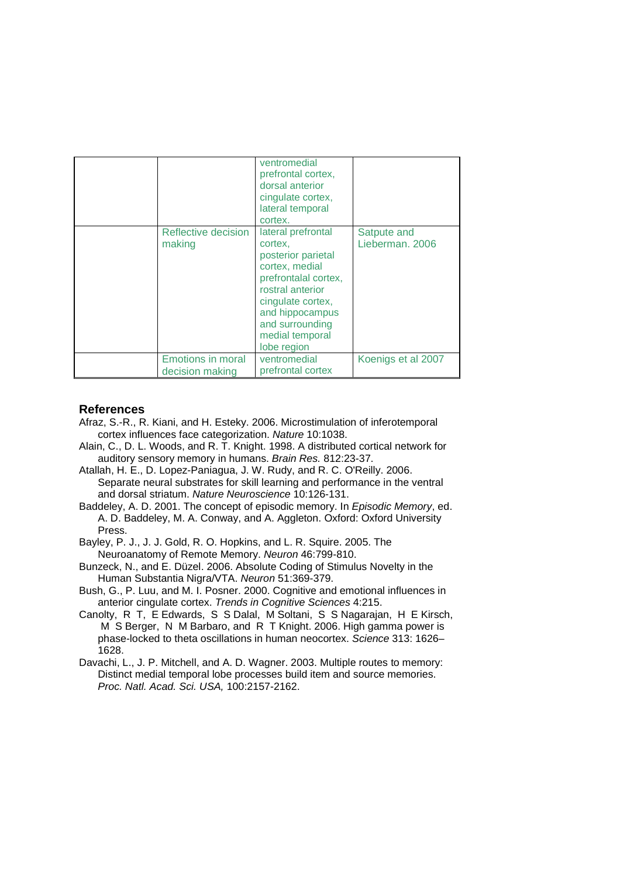|                                             | ventromedial<br>prefrontal cortex,<br>dorsal anterior<br>cingulate cortex,<br>lateral temporal<br>cortex.                                                                                                      |                                |
|---------------------------------------------|----------------------------------------------------------------------------------------------------------------------------------------------------------------------------------------------------------------|--------------------------------|
| Reflective decision<br>making               | lateral prefrontal<br>cortex,<br>posterior parietal<br>cortex, medial<br>prefrontalal cortex,<br>rostral anterior<br>cingulate cortex,<br>and hippocampus<br>and surrounding<br>medial temporal<br>lobe region | Satpute and<br>Lieberman, 2006 |
| <b>Emotions in moral</b><br>decision making | ventromedial<br>prefrontal cortex                                                                                                                                                                              | Koenigs et al 2007             |

## **References**

- Afraz, S.-R., R. Kiani, and H. Esteky. 2006. Microstimulation of inferotemporal cortex influences face categorization. Nature 10:1038.
- Alain, C., D. L. Woods, and R. T. Knight. 1998. A distributed cortical network for auditory sensory memory in humans. Brain Res. 812:23-37.
- Atallah, H. E., D. Lopez-Paniagua, J. W. Rudy, and R. C. O'Reilly. 2006. Separate neural substrates for skill learning and performance in the ventral and dorsal striatum. Nature Neuroscience 10:126-131.
- Baddeley, A. D. 2001. The concept of episodic memory. In Episodic Memory, ed. A. D. Baddeley, M. A. Conway, and A. Aggleton. Oxford: Oxford University Press.
- Bayley, P. J., J. J. Gold, R. O. Hopkins, and L. R. Squire. 2005. The Neuroanatomy of Remote Memory. Neuron 46:799-810.
- Bunzeck, N., and E. Düzel. 2006. Absolute Coding of Stimulus Novelty in the Human Substantia Nigra/VTA. Neuron 51:369-379.
- Bush, G., P. Luu, and M. I. Posner. 2000. Cognitive and emotional influences in anterior cingulate cortex. Trends in Cognitive Sciences 4:215.
- Canolty, R T, E Edwards, S S Dalal, M Soltani, S S Nagarajan, H E Kirsch, M S Berger, N M Barbaro, and R T Knight. 2006. High gamma power is phase-locked to theta oscillations in human neocortex. Science 313: 1626– 1628.
- Davachi, L., J. P. Mitchell, and A. D. Wagner. 2003. Multiple routes to memory: Distinct medial temporal lobe processes build item and source memories. Proc. Natl. Acad. Sci. USA, 100:2157-2162.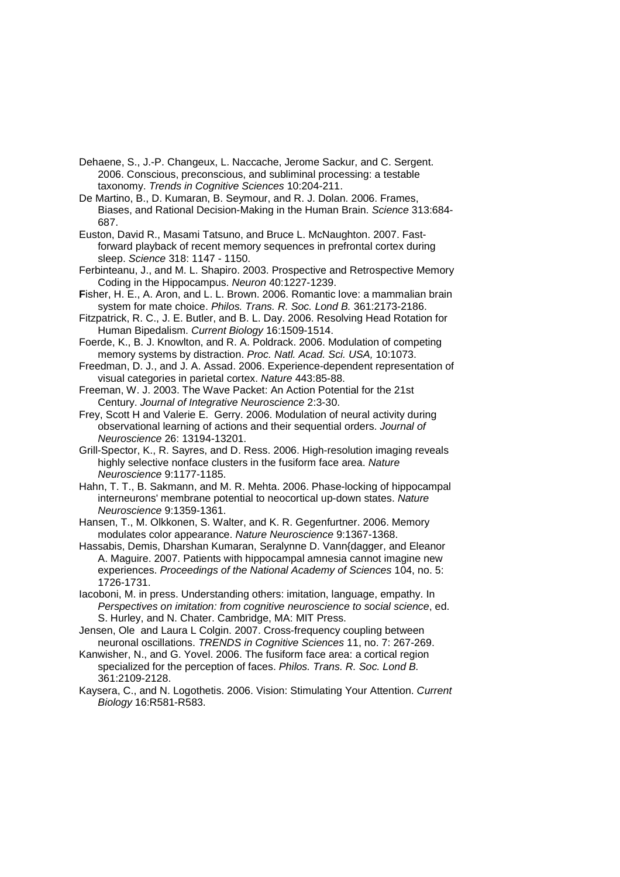- Dehaene, S., J.-P. Changeux, L. Naccache, Jerome Sackur, and C. Sergent. 2006. Conscious, preconscious, and subliminal processing: a testable taxonomy. Trends in Cognitive Sciences 10:204-211.
- De Martino, B., D. Kumaran, B. Seymour, and R. J. Dolan. 2006. Frames, Biases, and Rational Decision-Making in the Human Brain. Science 313:684- 687.
- Euston, David R., Masami Tatsuno, and Bruce L. McNaughton. 2007. Fastforward playback of recent memory sequences in prefrontal cortex during sleep. Science 318: 1147 - 1150.
- Ferbinteanu, J., and M. L. Shapiro. 2003. Prospective and Retrospective Memory Coding in the Hippocampus. Neuron 40:1227-1239.
- **F**isher, H. E., A. Aron, and L. L. Brown. 2006. Romantic love: a mammalian brain system for mate choice. Philos. Trans. R. Soc. Lond B. 361:2173-2186.
- Fitzpatrick, R. C., J. E. Butler, and B. L. Day. 2006. Resolving Head Rotation for Human Bipedalism. Current Biology 16:1509-1514.
- Foerde, K., B. J. Knowlton, and R. A. Poldrack. 2006. Modulation of competing memory systems by distraction. Proc. Natl. Acad. Sci. USA, 10:1073.
- Freedman, D. J., and J. A. Assad. 2006. Experience-dependent representation of visual categories in parietal cortex. Nature 443:85-88.
- Freeman, W. J. 2003. The Wave Packet: An Action Potential for the 21st Century. Journal of Integrative Neuroscience 2:3-30.
- Frey, Scott H and Valerie E. Gerry. 2006. Modulation of neural activity during observational learning of actions and their sequential orders. Journal of Neuroscience 26: 13194-13201.
- Grill-Spector, K., R. Sayres, and D. Ress. 2006. High-resolution imaging reveals highly selective nonface clusters in the fusiform face area. Nature Neuroscience 9:1177-1185.
- Hahn, T. T., B. Sakmann, and M. R. Mehta. 2006. Phase-locking of hippocampal interneurons' membrane potential to neocortical up-down states. Nature Neuroscience 9:1359-1361.
- Hansen, T., M. Olkkonen, S. Walter, and K. R. Gegenfurtner. 2006. Memory modulates color appearance. Nature Neuroscience 9:1367-1368.
- Hassabis, Demis, Dharshan Kumaran, Seralynne D. Vann{dagger, and Eleanor A. Maguire. 2007. Patients with hippocampal amnesia cannot imagine new experiences. Proceedings of the National Academy of Sciences 104, no. 5: 1726-1731.
- Iacoboni, M. in press. Understanding others: imitation, language, empathy. In Perspectives on imitation: from cognitive neuroscience to social science, ed. S. Hurley, and N. Chater. Cambridge, MA: MIT Press.
- Jensen, Ole and Laura L Colgin. 2007. Cross-frequency coupling between neuronal oscillations. TRENDS in Cognitive Sciences 11, no. 7: 267-269.
- Kanwisher, N., and G. Yovel. 2006. The fusiform face area: a cortical region specialized for the perception of faces. Philos. Trans. R. Soc. Lond B. 361:2109-2128.
- Kaysera, C., and N. Logothetis. 2006. Vision: Stimulating Your Attention. Current Biology 16:R581-R583.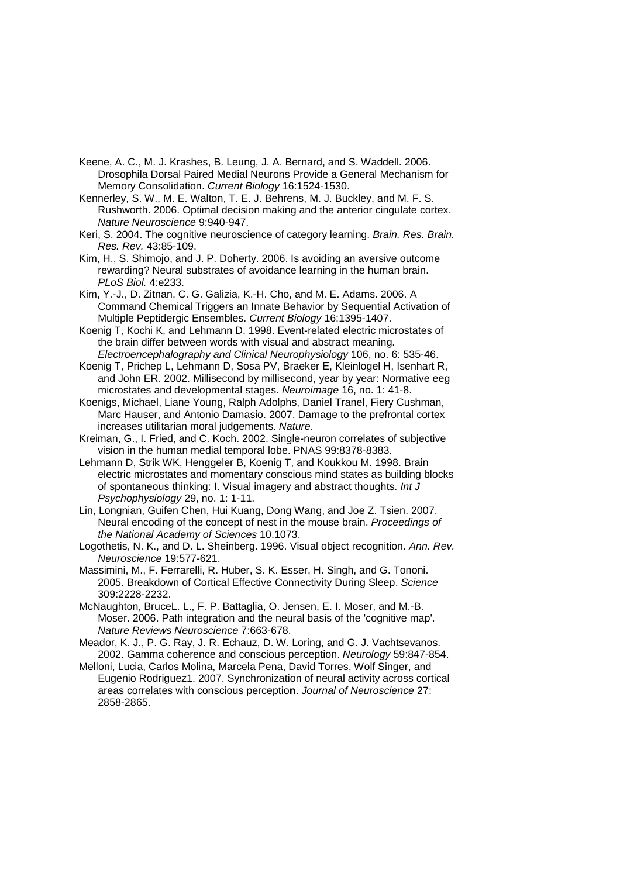- Keene, A. C., M. J. Krashes, B. Leung, J. A. Bernard, and S. Waddell. 2006. Drosophila Dorsal Paired Medial Neurons Provide a General Mechanism for Memory Consolidation. Current Biology 16:1524-1530.
- Kennerley, S. W., M. E. Walton, T. E. J. Behrens, M. J. Buckley, and M. F. S. Rushworth. 2006. Optimal decision making and the anterior cingulate cortex. Nature Neuroscience 9:940-947.
- Keri, S. 2004. The cognitive neuroscience of category learning. Brain. Res. Brain. Res. Rev. 43:85-109.
- Kim, H., S. Shimojo, and J. P. Doherty. 2006. Is avoiding an aversive outcome rewarding? Neural substrates of avoidance learning in the human brain. PLoS Biol. 4:e233.
- Kim, Y.-J., D. Zitnan, C. G. Galizia, K.-H. Cho, and M. E. Adams. 2006. A Command Chemical Triggers an Innate Behavior by Sequential Activation of Multiple Peptidergic Ensembles. Current Biology 16:1395-1407.
- Koenig T, Kochi K, and Lehmann D. 1998. Event-related electric microstates of the brain differ between words with visual and abstract meaning. Electroencephalography and Clinical Neurophysiology 106, no. 6: 535-46.
- Koenig T, Prichep L, Lehmann D, Sosa PV, Braeker E, Kleinlogel H, Isenhart R, and John ER. 2002. Millisecond by millisecond, year by year: Normative eeg microstates and developmental stages. Neuroimage 16, no. 1: 41-8.
- Koenigs, Michael, Liane Young, Ralph Adolphs, Daniel Tranel, Fiery Cushman, Marc Hauser, and Antonio Damasio. 2007. Damage to the prefrontal cortex increases utilitarian moral judgements. Nature.
- Kreiman, G., I. Fried, and C. Koch. 2002. Single-neuron correlates of subjective vision in the human medial temporal lobe. PNAS 99:8378-8383.
- Lehmann D, Strik WK, Henggeler B, Koenig T, and Koukkou M. 1998. Brain electric microstates and momentary conscious mind states as building blocks of spontaneous thinking: I. Visual imagery and abstract thoughts. Int J Psychophysiology 29, no. 1: 1-11.
- Lin, Longnian, Guifen Chen, Hui Kuang, Dong Wang, and Joe Z. Tsien. 2007. Neural encoding of the concept of nest in the mouse brain. Proceedings of the National Academy of Sciences 10.1073.
- Logothetis, N. K., and D. L. Sheinberg. 1996. Visual object recognition. Ann. Rev. Neuroscience 19:577-621.
- Massimini, M., F. Ferrarelli, R. Huber, S. K. Esser, H. Singh, and G. Tononi. 2005. Breakdown of Cortical Effective Connectivity During Sleep. Science 309:2228-2232.
- McNaughton, BruceL. L., F. P. Battaglia, O. Jensen, E. I. Moser, and M.-B. Moser. 2006. Path integration and the neural basis of the 'cognitive map'. Nature Reviews Neuroscience 7:663-678.
- Meador, K. J., P. G. Ray, J. R. Echauz, D. W. Loring, and G. J. Vachtsevanos. 2002. Gamma coherence and conscious perception. Neurology 59:847-854.
- Melloni, Lucia, Carlos Molina, Marcela Pena, David Torres, Wolf Singer, and Eugenio Rodriguez1. 2007. Synchronization of neural activity across cortical areas correlates with conscious perceptio**n**. Journal of Neuroscience 27: 2858-2865.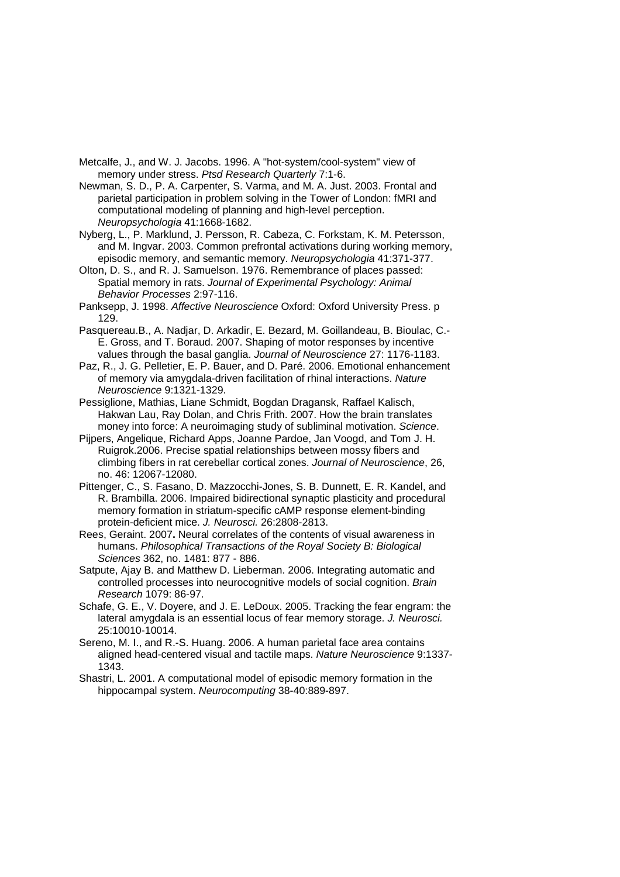Metcalfe, J., and W. J. Jacobs. 1996. A "hot-system/cool-system" view of memory under stress. Ptsd Research Quarterly 7:1-6.

Newman, S. D., P. A. Carpenter, S. Varma, and M. A. Just. 2003. Frontal and parietal participation in problem solving in the Tower of London: fMRI and computational modeling of planning and high-level perception. Neuropsychologia 41:1668-1682.

Nyberg, L., P. Marklund, J. Persson, R. Cabeza, C. Forkstam, K. M. Petersson, and M. Ingvar. 2003. Common prefrontal activations during working memory, episodic memory, and semantic memory. Neuropsychologia 41:371-377.

Olton, D. S., and R. J. Samuelson. 1976. Remembrance of places passed: Spatial memory in rats. Journal of Experimental Psychology: Animal Behavior Processes 2:97-116.

Panksepp, J. 1998. Affective Neuroscience Oxford: Oxford University Press. p 129.

Pasquereau.B., A. Nadjar, D. Arkadir, E. Bezard, M. Goillandeau, B. Bioulac, C.- E. Gross, and T. Boraud. 2007. Shaping of motor responses by incentive values through the basal ganglia. Journal of Neuroscience 27: 1176-1183.

Paz, R., J. G. Pelletier, E. P. Bauer, and D. Paré. 2006. Emotional enhancement of memory via amygdala-driven facilitation of rhinal interactions. Nature Neuroscience 9:1321-1329.

- Pessiglione, Mathias, Liane Schmidt, Bogdan Dragansk, Raffael Kalisch, Hakwan Lau, Ray Dolan, and Chris Frith. 2007. How the brain translates money into force: A neuroimaging study of subliminal motivation. Science.
- Pijpers, Angelique, Richard Apps, Joanne Pardoe, Jan Voogd, and Tom J. H. Ruigrok.2006. Precise spatial relationships between mossy fibers and climbing fibers in rat cerebellar cortical zones. Journal of Neuroscience, 26, no. 46: 12067-12080.
- Pittenger, C., S. Fasano, D. Mazzocchi-Jones, S. B. Dunnett, E. R. Kandel, and R. Brambilla. 2006. Impaired bidirectional synaptic plasticity and procedural memory formation in striatum-specific cAMP response element-binding protein-deficient mice. J. Neurosci. 26:2808-2813.

Rees, Geraint. 2007**.** Neural correlates of the contents of visual awareness in humans. Philosophical Transactions of the Royal Society B: Biological Sciences 362, no. 1481: 877 - 886.

Satpute, Ajay B. and Matthew D. Lieberman. 2006. Integrating automatic and controlled processes into neurocognitive models of social cognition. Brain Research 1079: 86-97.

Schafe, G. E., V. Doyere, and J. E. LeDoux. 2005. Tracking the fear engram: the lateral amygdala is an essential locus of fear memory storage. J. Neurosci. 25:10010-10014.

Sereno, M. I., and R.-S. Huang. 2006. A human parietal face area contains aligned head-centered visual and tactile maps. Nature Neuroscience 9:1337- 1343.

Shastri, L. 2001. A computational model of episodic memory formation in the hippocampal system. Neurocomputing 38-40:889-897.